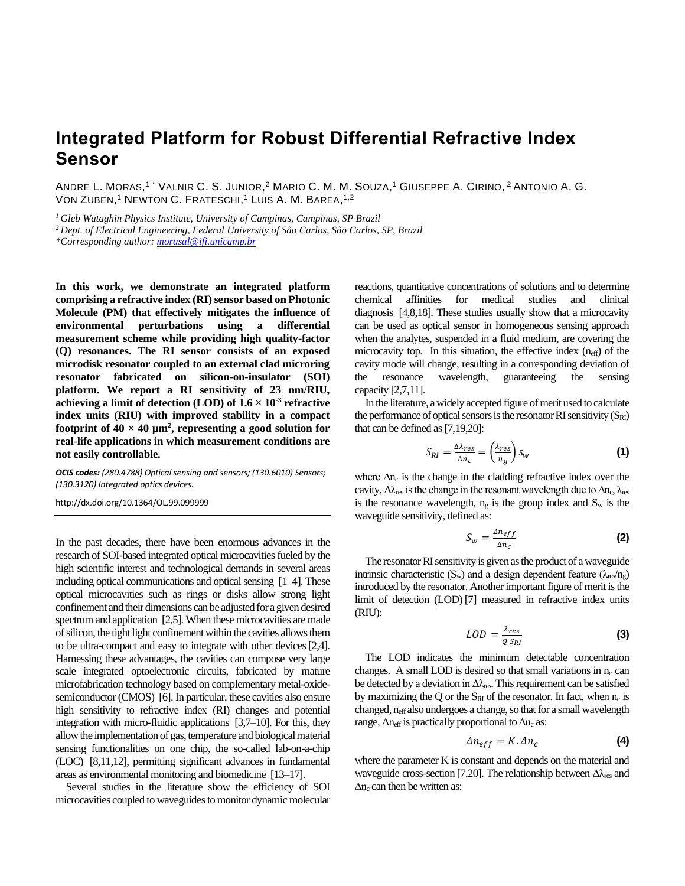## **Integrated Platform for Robust Differential Refractive Index Sensor**

ANDRE L. MORAS,<sup>1,\*</sup> VALNIR C. S. JUNIOR,<sup>2</sup> MARIO C. M. M. SOUZA,<sup>1</sup> GIUSEPPE A. CIRINO, <sup>2</sup> ANTONIO A. G. VON ZUBEN,<sup>1</sup> NEWTON C. FRATESCHI,<sup>1</sup> LUIS A. M. BAREA,<sup>1,2</sup>

*<sup>1</sup>Gleb Wataghin Physics Institute, University of Campinas, Campinas, SP Brazil*

*<sup>2</sup> Dept. of Electrical Engineering, Federal University of São Carlos, São Carlos, SP, Brazil*

*\*Corresponding author: morasal@ifi.unicamp.br*

**In this work, we demonstrate an integrated platform comprising a refractive index (RI)sensor based on Photonic Molecule (PM) that effectively mitigates the influence of environmental perturbations using a differential measurement scheme while providing high quality-factor (Q) resonances. The RI sensor consists of an exposed microdisk resonator coupled to an external clad microring resonator fabricated on silicon-on-insulator (SOI) platform. We report a RI sensitivity of 23 nm/RIU, achieving a limit of detection**  $(LOD)$  **of**  $1.6 \times 10^{-3}$  **refractive index units (RIU) with improved stability in a compact**  footprint of  $40 \times 40 \mu m^2$ , representing a good solution for **real-life applications in which measurement conditions are not easily controllable.**

*OCIS codes: (280.4788) Optical sensing and sensors; (130.6010) Sensors; (130.3120) Integrated optics devices.* 

http://dx.doi.org/10.1364/OL.99.099999

In the past decades, there have been enormous advances in the research of SOI-based integrated optical microcavities fueled by the high scientific interest and technological demands in several areas including optical communications and optical sensing [1–4]. These optical microcavities such as rings or disks allow strong light confinement and their dimensions can be adjusted for a given desired spectrum and application [2,5]. When these microcavities are made of silicon, the tight light confinement within the cavities allows them to be ultra-compact and easy to integrate with other devices[2,4]. Harnessing these advantages, the cavities can compose very large scale integrated optoelectronic circuits, fabricated by mature microfabrication technology based on complementary metal-oxidesemiconductor (CMOS) [6]. In particular, these cavities also ensure high sensitivity to refractive index (RI) changes and potential integration with micro-fluidic applications [3,7–10]. For this, they allow the implementation of gas, temperature and biological material sensing functionalities on one chip, the so-called lab-on-a-chip (LOC) [8,11,12], permitting significant advances in fundamental areas as environmental monitoring and biomedicine [13–17].

Several studies in the literature show the efficiency of SOI microcavities coupled to waveguides to monitor dynamic molecular reactions, quantitative concentrations of solutions and to determine chemical affinities for medical studies and clinical diagnosis [4,8,18]. These studies usually show that a microcavity can be used as optical sensor in homogeneous sensing approach when the analytes, suspended in a fluid medium, are covering the microcavity top. In this situation, the effective index (neff) of the cavity mode will change, resulting in a corresponding deviation of the resonance wavelength, guaranteeing the sensing capacity [2,7,11].

In the literature, a widely accepted figure of merit used to calculate the performance of optical sensors is the resonator RI sensitivity  $(S_{RI})$ that can be defined as [7,19,20]:

$$
S_{RI} = \frac{\Delta\lambda_{res}}{\Delta n_c} = \left(\frac{\lambda_{res}}{n_g}\right) S_W
$$
 (1)

where  $\Delta n_c$  is the change in the cladding refractive index over the cavity,  $\Delta\lambda_{res}$  is the change in the resonant wavelength due to  $\Delta n_c$ ,  $\lambda_{res}$ is the resonance wavelength,  $n_g$  is the group index and  $S_w$  is the waveguide sensitivity, defined as:

$$
S_w = \frac{\Delta n_{eff}}{\Delta n_c}
$$
 (2)

The resonator RI sensitivity is given as the product of a waveguide intrinsic characteristic (S<sub>w</sub>) and a design dependent feature ( $\lambda_{\text{res}}/n_{\text{g}}$ ) introduced by the resonator. Another important figure of merit is the limit of detection (LOD) [7] measured in refractive index units (RIU):

$$
LOD = \frac{\lambda_{res}}{Q \, S_{RI}} \tag{3}
$$

The LOD indicates the minimum detectable concentration changes. A small LOD is desired so that small variations in  $n_c$  can be detected by a deviation in  $\Delta\lambda_{\rm res}$ . This requirement can be satisfied by maximizing the Q or the  $S_{RI}$  of the resonator. In fact, when  $n_c$  is changed, neff also undergoes a change, so that for a small wavelength range,  $\Delta n_{\text{eff}}$  is practically proportional to  $\Delta n_c$  as:

$$
\Delta n_{eff} = K. \Delta n_c \tag{4}
$$

where the parameter K is constant and depends on the material and waveguide cross-section [7,20]. The relationship between  $\Delta\lambda_{res}$  and  $\Delta n_c$  can then be written as: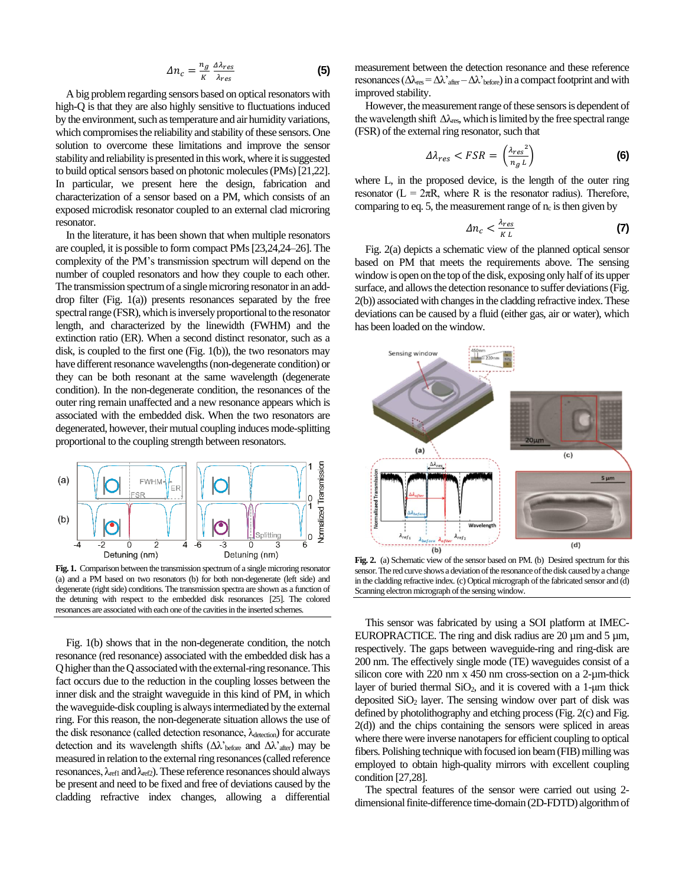$$
\Delta n_c = \frac{n_g}{\kappa} \frac{\Delta \lambda_{res}}{\lambda_{res}} \tag{5}
$$

A big problem regarding sensors based on optical resonators with high-Q is that they are also highly sensitive to fluctuations induced by the environment, such as temperature and air humidity variations, which compromises the reliability and stability of these sensors. One solution to overcome these limitations and improve the sensor stability and reliability is presented in this work, where it is suggested to build optical sensors based on photonic molecules (PMs)[21,22]. In particular, we present here the design, fabrication and characterization of a sensor based on a PM, which consists of an exposed microdisk resonator coupled to an external clad microring resonator.

In the literature, it has been shown that when multiple resonators are coupled, it is possible to form compact PMs[23,24,24–26]. The complexity of the PM's transmission spectrum will depend on the number of coupled resonators and how they couple to each other. The transmission spectrum of a single microring resonator in an adddrop filter (Fig. 1(a)) presents resonances separated by the free spectral range (FSR), which is inversely proportional to the resonator length, and characterized by the linewidth (FWHM) and the extinction ratio (ER). When a second distinct resonator, such as a disk, is coupled to the first one (Fig. 1(b)), the two resonators may have different resonance wavelengths (non-degenerate condition) or they can be both resonant at the same wavelength (degenerate condition). In the non-degenerate condition, the resonances of the outer ring remain unaffected and a new resonance appears which is associated with the embedded disk. When the two resonators are degenerated, however, their mutual coupling induces mode-splitting proportional to the coupling strength between resonators.



**Fig. 1.** Comparison between the transmission spectrum of a single microring resonator (a) and a PM based on two resonators (b) for both non-degenerate (left side) and degenerate (right side) conditions. The transmission spectra are shown as a function of the detuning with respect to the embedded disk resonances [25]. The colored resonances are associated with each one of the cavities in the inserted schemes.

Fig. 1(b) shows that in the non-degenerate condition, the notch resonance (red resonance) associated with the embedded disk has a Q higher than the Q associated with the external-ring resonance. This fact occurs due to the reduction in the coupling losses between the inner disk and the straight waveguide in this kind of PM, in which the waveguide-disk coupling is always intermediated by the external ring. For this reason, the non-degenerate situation allows the use of the disk resonance (called detection resonance,  $\lambda_{\text{detection}}$ ) for accurate detection and its wavelength shifts ( $\Delta \lambda$ '<sub>before</sub> and  $\Delta \lambda$ '<sub>after</sub>) may be measured in relation to the external ring resonances (called reference resonances,  $\lambda_{refl}$  and  $\lambda_{ref2}$ ). These reference resonances should always be present and need to be fixed and free of deviations caused by the cladding refractive index changes, allowing a differential

measurement between the detection resonance and these reference resonances ( $\Delta \lambda_{res} = \Delta \lambda'_{after} - \Delta \lambda'_{before}$ ) in a compact footprint and with improved stability.

However, the measurement range of these sensors is dependent of the wavelength shift  $\Delta\lambda_{\rm res}$ , which is limited by the free spectral range (FSR) of the external ring resonator, such that

$$
\Delta \lambda_{res} < FSR = \left(\frac{\lambda_{res}^2}{n_g \, L}\right) \tag{6}
$$

where L, in the proposed device, is the length of the outer ring resonator ( $L = 2\pi R$ , where R is the resonator radius). Therefore, comparing to eq. 5, the measurement range of  $n_c$  is then given by

$$
\Delta n_c < \frac{\lambda_{res}}{\kappa} \tag{7}
$$

Fig. 2(a) depicts a schematic view of the planned optical sensor based on PM that meets the requirements above. The sensing window is open on the top of the disk, exposing only half of its upper surface, and allows the detection resonance to suffer deviations (Fig. 2(b)) associated with changes in the cladding refractive index. These deviations can be caused by a fluid (either gas, air or water), which has been loaded on the window.



**Fig. 2.** (a) Schematic view of the sensor based on PM. (b) Desired spectrum for this sensor. The red curve shows a deviation of the resonance of the disk caused by a change in the cladding refractive index. (c) Optical micrograph of the fabricated sensor and (d) Scanning electron micrograph of the sensing window.

This sensor was fabricated by using a SOI platform at IMEC-EUROPRACTICE. The ring and disk radius are  $20 \mu m$  and  $5 \mu m$ , respectively. The gaps between waveguide-ring and ring-disk are 200 nm. The effectively single mode (TE) waveguides consist of a silicon core with 220 nm x 450 nm cross-section on a 2-µm-thick layer of buried thermal  $SiO<sub>2</sub>$ , and it is covered with a 1-µm thick deposited  $SiO<sub>2</sub>$  layer. The sensing window over part of disk was defined by photolithography and etching process (Fig. 2(c) and Fig. 2(d)) and the chips containing the sensors were spliced in areas where there were inverse nanotapers for efficient coupling to optical fibers. Polishing technique with focused ion beam (FIB) milling was employed to obtain high-quality mirrors with excellent coupling condition [27,28].

The spectral features of the sensor were carried out using 2 dimensional finite-difference time-domain (2D-FDTD) algorithm of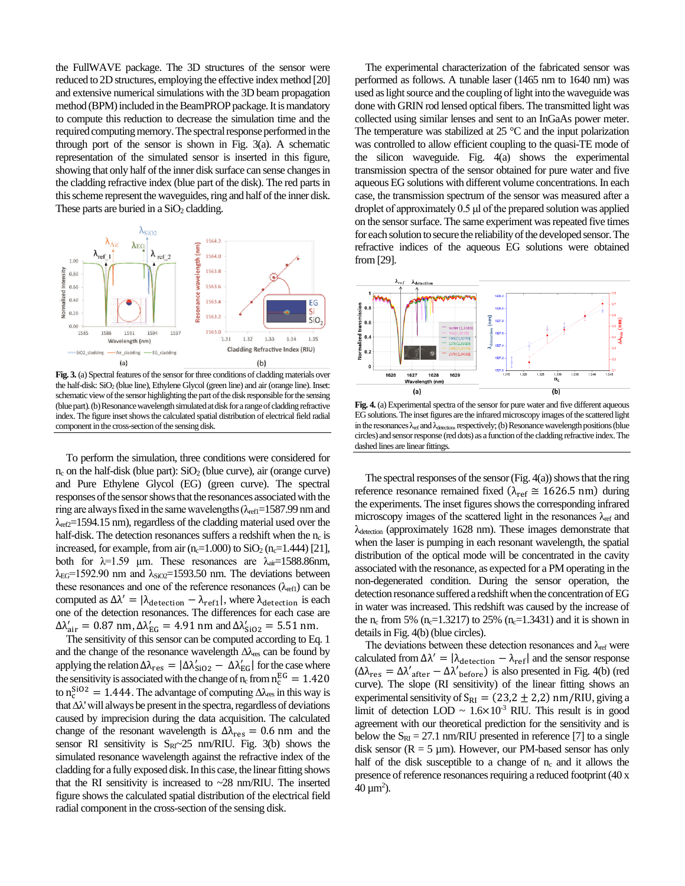the FullWAVE package. The 3D structures of the sensor were reduced to 2D structures, employing the effective index method [20] and extensive numerical simulations with the 3D beam propagation method (BPM) included in the BeamPROP package. It is mandatory to compute this reduction to decrease the simulation time and the required computing memory. The spectral response performed in the through port of the sensor is shown in Fig. 3(a). A schematic representation of the simulated sensor is inserted in this figure, showing that only half of the inner disk surface can sense changes in the cladding refractive index (blue part of the disk). The red parts in this scheme represent the waveguides, ring and half of the inner disk. These parts are buried in a  $SiO<sub>2</sub>$  cladding.



**Fig. 3.** (a) Spectral features of the sensor for three conditions of cladding materials over the half-disk: SiO<sub>2</sub> (blue line), Ethylene Glycol (green line) and air (orange line). Inset: schematic view of the sensor highlighting the part of the disk responsible for the sensing (blue part). (b) Resonance wavelength simulated at disk for a range of cladding refractive index. The figure inset shows the calculated spatial distribution of electrical field radial component in the cross-section of the sensing disk.

To perform the simulation, three conditions were considered for  $n_c$  on the half-disk (blue part):  $SiO<sub>2</sub>$  (blue curve), air (orange curve) and Pure Ethylene Glycol (EG) (green curve). The spectral responses of the sensor showsthat the resonances associated with the ring are always fixed in the same wavelengths  $(\lambda_{refl}=1587.99$  nm and  $\lambda_{\text{ref2}}$ =1594.15 nm), regardless of the cladding material used over the half-disk. The detection resonances suffers a redshift when the  $n_c$  is increased, for example, from air (n<sub>c</sub>=1.000) to  $SiO<sub>2</sub>$  (n<sub>c</sub>=1.444) [21], both for  $\lambda=1.59$  µm. These resonances are  $\lambda_{air}=1588.86$ nm,  $\lambda_{EG}$ =1592.90 nm and  $\lambda_{SiO2}$ =1593.50 nm. The deviations between these resonances and one of the reference resonances ( $\lambda_{refl}$ ) can be computed as  $\Delta \lambda' = |\lambda_{\text{detection}} - \lambda_{\text{ref1}}|$ , where  $\lambda_{\text{detection}}$  is each one of the detection resonances. The differences for each case are  $\Delta \lambda'_{\text{air}} = 0.87 \text{ nm}, \Delta \lambda'_{\text{EG}} = 4.91 \text{ nm} \text{ and } \Delta \lambda'_{\text{SiO2}} = 5.51 \text{ nm}.$ 

The sensitivity of this sensor can be computed according to Eq. 1 and the change of the resonance wavelength  $\Delta\lambda_{\rm res}$  can be found by applying the relation  $\Delta \lambda_{res} = |\Delta \lambda'_{SiO2} - \Delta \lambda'_{EG}|$  for the case where the sensitivity is associated with the change of  $n_c$  from  $n_c^{EG} = 1.420$ to  $n_c^{SiO2} = 1.444$ . The advantage of computing  $\Delta \lambda_{res}$  in this way is that  $\Delta\lambda$ ' will always be present in the spectra, regardless of deviations caused by imprecision during the data acquisition. The calculated change of the resonant wavelength is  $\Delta\lambda_{\rm res} = 0.6$  nm and the sensor RI sensitivity is  $S_{RI}$  -25 nm/RIU. Fig. 3(b) shows the simulated resonance wavelength against the refractive index of the cladding for a fully exposed disk. In this case, the linear fitting shows that the RI sensitivity is increased to ~28 nm/RIU. The inserted figure shows the calculated spatial distribution of the electrical field radial component in the cross-section of the sensing disk.

The experimental characterization of the fabricated sensor was performed as follows. A tunable laser (1465 nm to 1640 nm) was used as light source and the coupling of light into the waveguide was done with GRIN rod lensed optical fibers. The transmitted light was collected using similar lenses and sent to an InGaAs power meter. The temperature was stabilized at  $25 \text{ °C}$  and the input polarization was controlled to allow efficient coupling to the quasi-TE mode of the silicon waveguide. Fig. 4(a) shows the experimental transmission spectra of the sensor obtained for pure water and five aqueous EG solutions with different volume concentrations. In each case, the transmission spectrum of the sensor was measured after a droplet of approximately 0.5 μl of the prepared solution was applied on the sensor surface. The same experiment was repeated five times for each solution to secure the reliability of the developed sensor.The refractive indices of the aqueous EG solutions were obtained from [29].



**Fig. 4.** (a) Experimental spectra of the sensor for pure water and five different aqueous EGsolutions. The inset figures are the infrared microscopy images of the scattered light in the resonances  $\lambda_{ref}$  and  $\lambda_{detection}$ , respectively; (b) Resonance wavelength positions (blue circles) and sensor response (red dots) as a function of the cladding refractive index.The dashed lines are linear fittings.

The spectral responses of the sensor (Fig.  $4(a)$ ) shows that the ring reference resonance remained fixed ( $\lambda_{\text{ref}} \approx 1626.5 \text{ nm}$ ) during the experiments. The inset figures shows the corresponding infrared microscopy images of the scattered light in the resonances  $\lambda_{ref}$  and λdetection (approximately 1628 nm). These images demonstrate that when the laser is pumping in each resonant wavelength, the spatial distribution of the optical mode will be concentrated in the cavity associated with the resonance, as expected for a PM operating in the non-degenerated condition. During the sensor operation, the detection resonance suffered a redshift when the concentration of EG in water was increased. This redshift was caused by the increase of the n<sub>c</sub> from 5% (n<sub>c</sub>=1.3217) to 25% (n<sub>c</sub>=1.3431) and it is shown in details in Fig. 4(b) (blue circles).

The deviations between these detection resonances and  $\lambda_{ref}$  were calculated from  $\Delta \lambda' = |\lambda_{\text{detection}} - \lambda_{\text{ref}}|$  and the sensor response  $(Δλ<sub>res</sub> = Δλ'<sub>after</sub> - Δλ'<sub>before</sub>)$  is also presented in Fig. 4(b) (red curve). The slope (RI sensitivity) of the linear fitting shows an experimental sensitivity of  $S_{RI} = (23.2 \pm 2.2)$  nm/RIU, giving a limit of detection LOD  $\sim 1.6 \times 10^{-3}$  RIU. This result is in good agreement with our theoretical prediction for the sensitivity and is below the  $S_{RI} = 27.1$  nm/RIU presented in reference [7] to a single disk sensor ( $R = 5 \mu m$ ). However, our PM-based sensor has only half of the disk susceptible to a change of  $n_c$  and it allows the presence of reference resonances requiring a reduced footprint (40 x  $40 \,\mathrm{\mu m}^2$ ).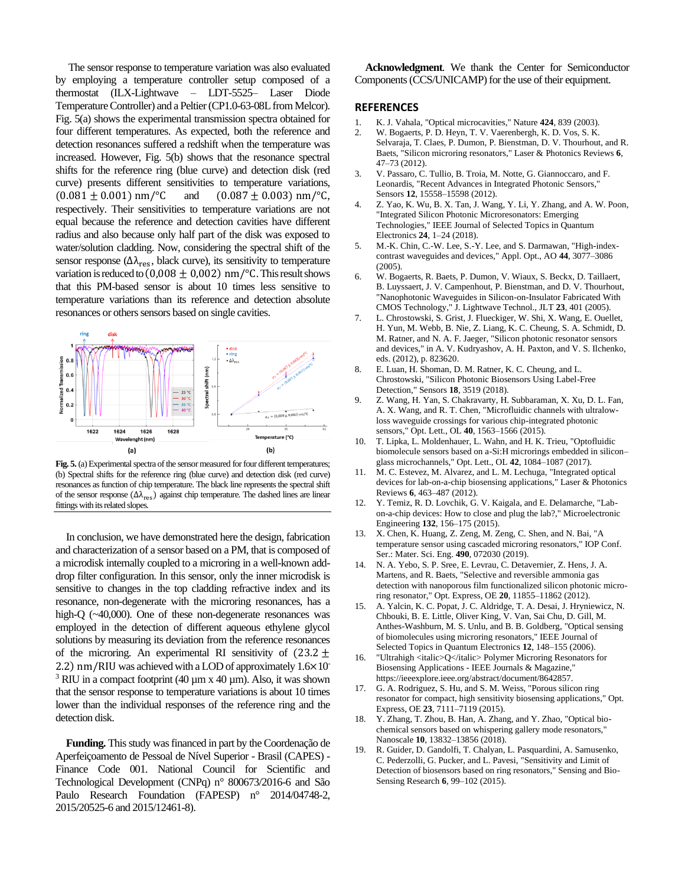The sensor response to temperature variation was also evaluated by employing a temperature controller setup composed of a thermostat (ILX-Lightwave – LDT-5525– Laser Diode Temperature Controller) and a Peltier (CP1.0-63-08L from Melcor). Fig. 5(a) shows the experimental transmission spectra obtained for four different temperatures. As expected, both the reference and detection resonances suffered a redshift when the temperature was increased. However, Fig. 5(b) shows that the resonance spectral shifts for the reference ring (blue curve) and detection disk (red curve) presents different sensitivities to temperature variations,  $(0.081 \pm 0.001)$  nm/°C and  $(0.087 \pm 0.003)$  nm/°C, respectively. Their sensitivities to temperature variations are not equal because the reference and detection cavities have different radius and also because only half part of the disk was exposed to water/solution cladding. Now, considering the spectral shift of the sensor response ( $\Delta \lambda_{res}$ , black curve), its sensitivity to temperature variation is reduced to  $(0,008 \pm 0,002)$  nm/°C. This result shows that this PM-based sensor is about 10 times less sensitive to temperature variations than its reference and detection absolute resonances or others sensors based on single cavities.



**Fig. 5.** (a) Experimental spectra of the sensor measured for four different temperatures; (b) Spectral shifts for the reference ring (blue curve) and detection disk (red curve) resonances as function of chip temperature. The black line represents the spectral shift of the sensor response ( $\Delta\lambda_{\rm res}$ ) against chip temperature. The dashed lines are linear fittings with its related slopes.

In conclusion, we have demonstrated here the design, fabrication and characterization of a sensor based on a PM, that is composed of a microdisk internally coupled to a microring in a well-known adddrop filter configuration. In this sensor, only the inner microdisk is sensitive to changes in the top cladding refractive index and its resonance, non-degenerate with the microring resonances, has a high-Q (~40,000). One of these non-degenerate resonances was employed in the detection of different aqueous ethylene glycol solutions by measuring its deviation from the reference resonances of the microring. An experimental RI sensitivity of  $(23.2 \pm$ 2.2) nm/RIU was achieved with a LOD of approximately 1.6×10- <sup>3</sup> RIU in a compact footprint (40  $\mu$ m x 40  $\mu$ m). Also, it was shown that the sensor response to temperature variations is about 10 times lower than the individual responses of the reference ring and the detection disk.

**Funding.** This study was financed in part by the Coordenação de Aperfeiçoamento de Pessoal de Nível Superior - Brasil (CAPES) - Finance Code 001. National Council for Scientific and Technological Development (CNPq) n° 800673/2016-6 and São Paulo Research Foundation (FAPESP) n° 2014/04748-2, 2015/20525-6 and 2015/12461-8).

**Acknowledgment**. We thank the Center for Semiconductor Components (CCS/UNICAMP) for the use of their equipment.

## **REFERENCES**

- 1. K. J. Vahala, "Optical microcavities," Nature **424**, 839 (2003).
- 2. W. Bogaerts, P. D. Heyn, T. V. Vaerenbergh, K. D. Vos, S. K. Selvaraja, T. Claes, P. Dumon, P. Bienstman, D. V. Thourhout, and R. Baets, "Silicon microring resonators," Laser & Photonics Reviews **6**, 47–73 (2012).
- 3. V. Passaro, C. Tullio, B. Troia, M. Notte, G. Giannoccaro, and F. Leonardis, "Recent Advances in Integrated Photonic Sensors," Sensors **12**, 15558–15598 (2012).
- 4. Z. Yao, K. Wu, B. X. Tan, J. Wang, Y. Li, Y. Zhang, and A. W. Poon, "Integrated Silicon Photonic Microresonators: Emerging Technologies," IEEE Journal of Selected Topics in Quantum Electronics **24**, 1–24 (2018).
- 5. M.-K. Chin, C.-W. Lee, S.-Y. Lee, and S. Darmawan, "High-indexcontrast waveguides and devices," Appl. Opt., AO **44**, 3077–3086 (2005).
- 6. W. Bogaerts, R. Baets, P. Dumon, V. Wiaux, S. Beckx, D. Taillaert, B. Luyssaert, J. V. Campenhout, P. Bienstman, and D. V. Thourhout, "Nanophotonic Waveguides in Silicon-on-Insulator Fabricated With CMOS Technology," J. Lightwave Technol., JLT **23**, 401 (2005).
- 7. L. Chrostowski, S. Grist, J. Flueckiger, W. Shi, X. Wang, E. Ouellet, H. Yun, M. Webb, B. Nie, Z. Liang, K. C. Cheung, S. A. Schmidt, D. M. Ratner, and N. A. F. Jaeger, "Silicon photonic resonator sensors and devices," in A. V. Kudryashov, A. H. Paxton, and V. S. Ilchenko, eds. (2012), p. 823620.
- 8. E. Luan, H. Shoman, D. M. Ratner, K. C. Cheung, and L. Chrostowski, "Silicon Photonic Biosensors Using Label-Free Detection," Sensors **18**, 3519 (2018).
- 9. Z. Wang, H. Yan, S. Chakravarty, H. Subbaraman, X. Xu, D. L. Fan, A. X. Wang, and R. T. Chen, "Microfluidic channels with ultralowloss waveguide crossings for various chip-integrated photonic sensors," Opt. Lett., OL **40**, 1563–1566 (2015).
- 10. T. Lipka, L. Moldenhauer, L. Wahn, and H. K. Trieu, "Optofluidic biomolecule sensors based on a-Si:H microrings embedded in silicon– glass microchannels," Opt. Lett., OL **42**, 1084–1087 (2017).
- 11. M. C. Estevez, M. Alvarez, and L. M. Lechuga, "Integrated optical devices for lab-on-a-chip biosensing applications," Laser & Photonics Reviews **6**, 463–487 (2012).
- 12. Y. Temiz, R. D. Lovchik, G. V. Kaigala, and E. Delamarche, "Labon-a-chip devices: How to close and plug the lab?," Microelectronic Engineering **132**, 156–175 (2015).
- 13. X. Chen, K. Huang, Z. Zeng, M. Zeng, C. Shen, and N. Bai, "A temperature sensor using cascaded microring resonators," IOP Conf. Ser.: Mater. Sci. Eng. **490**, 072030 (2019).
- 14. N. A. Yebo, S. P. Sree, E. Levrau, C. Detavernier, Z. Hens, J. A. Martens, and R. Baets, "Selective and reversible ammonia gas detection with nanoporous film functionalized silicon photonic microring resonator," Opt. Express, OE **20**, 11855–11862 (2012).
- 15. A. Yalcin, K. C. Popat, J. C. Aldridge, T. A. Desai, J. Hryniewicz, N. Chbouki, B. E. Little, Oliver King, V. Van, Sai Chu, D. Gill, M. Anthes-Washburn, M. S. Unlu, and B. B. Goldberg, "Optical sensing of biomolecules using microring resonators," IEEE Journal of Selected Topics in Quantum Electronics **12**, 148–155 (2006).
- 16. "Ultrahigh <italic>Q</italic> Polymer Microring Resonators for Biosensing Applications - IEEE Journals & Magazine," https://ieeexplore.ieee.org/abstract/document/8642857.
- 17. G. A. Rodriguez, S. Hu, and S. M. Weiss, "Porous silicon ring resonator for compact, high sensitivity biosensing applications," Opt. Express, OE **23**, 7111–7119 (2015).
- 18. Y. Zhang, T. Zhou, B. Han, A. Zhang, and Y. Zhao, "Optical biochemical sensors based on whispering gallery mode resonators," Nanoscale **10**, 13832–13856 (2018).
- 19. R. Guider, D. Gandolfi, T. Chalyan, L. Pasquardini, A. Samusenko, C. Pederzolli, G. Pucker, and L. Pavesi, "Sensitivity and Limit of Detection of biosensors based on ring resonators," Sensing and Bio-Sensing Research **6**, 99–102 (2015).